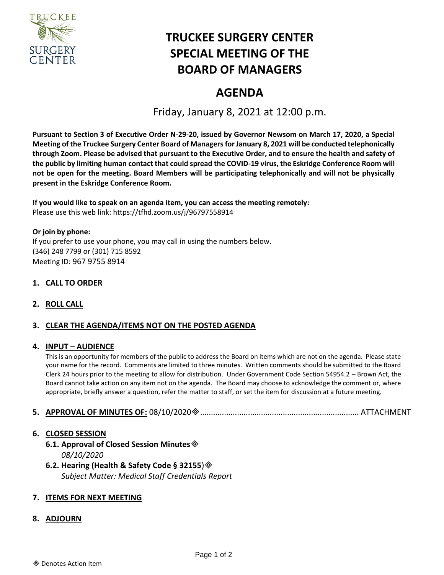

# **TRUCKEE SURGERY CENTER SPECIAL MEETING OF THE BOARD OF MANAGERS**

# **AGENDA**

Friday, January 8, 2021 at 12:00 p.m.

**Pursuant to Section 3 of Executive Order N-29-20, issued by Governor Newsom on March 17, 2020, a Special Meeting of the Truckee Surgery Center Board of Managers for January 8, 2021 will be conducted telephonically through Zoom. Please be advised that pursuant to the Executive Order, and to ensure the health and safety of the public by limiting human contact that could spread the COVID-19 virus, the Eskridge Conference Room will not be open for the meeting. Board Members will be participating telephonically and will not be physically present in the Eskridge Conference Room.**

**If you would like to speak on an agenda item, you can access the meeting remotely:**  Please use this web link:<https://tfhd.zoom.us/j/96797558914>

**Or join by phone:**  If you prefer to use your phone, you may call in using the numbers below. (346) 248 7799 or (301) 715 8592 Meeting ID: 967 9755 8914

# **1. CALL TO ORDER**

**2. ROLL CALL**

## **3. CLEAR THE AGENDA/ITEMS NOT ON THE POSTED AGENDA**

#### **4. INPUT – AUDIENCE**

This is an opportunity for members of the public to address the Board on items which are not on the agenda. Please state your name for the record. Comments are limited to three minutes. Written comments should be submitted to the Board Clerk 24 hours prior to the meeting to allow for distribution. Under Government Code Section 54954.2 – Brown Act, the Board cannot take action on any item not on the agenda. The Board may choose to acknowledge the comment or, where appropriate, briefly answer a question, refer the matter to staff, or set the item for discussion at a future meeting.

#### **5. APPROVAL OF MINUTES OF:** 08/10/2020......................................................................... ATTACHMENT

#### **6. CLOSED SESSION**

**6.1. Approval of Closed Session Minutes** *08/10/2020*

**6.2. Hearing (Health & Safety Code § 32155**) *Subject Matter: Medical Staff Credentials Report*

## **7. ITEMS FOR NEXT MEETING**

#### **8. ADJOURN**